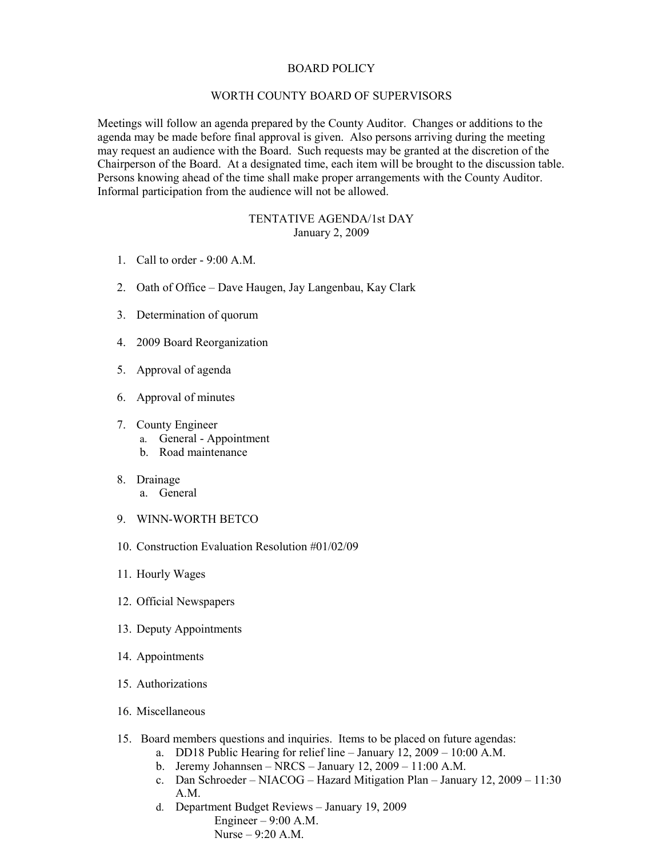## BOARD POLICY

## WORTH COUNTY BOARD OF SUPERVISORS

Meetings will follow an agenda prepared by the County Auditor. Changes or additions to the agenda may be made before final approval is given. Also persons arriving during the meeting may request an audience with the Board. Such requests may be granted at the discretion of the Chairperson of the Board. At a designated time, each item will be brought to the discussion table. Persons knowing ahead of the time shall make proper arrangements with the County Auditor. Informal participation from the audience will not be allowed.

## TENTATIVE AGENDA/1st DAY January 2, 2009

- 1. Call to order 9:00 A.M.
- 2. Oath of Office Dave Haugen, Jay Langenbau, Kay Clark
- 3. Determination of quorum
- 4. 2009 Board Reorganization
- 5. Approval of agenda
- 6. Approval of minutes
- 7. County Engineer
	- a. General Appointment
	- b. Road maintenance
- 8. Drainage
	- a. General
- 9. WINN-WORTH BETCO
- 10. Construction Evaluation Resolution #01/02/09
- 11. Hourly Wages
- 12. Official Newspapers
- 13. Deputy Appointments
- 14. Appointments
- 15. Authorizations
- 16. Miscellaneous
- 15. Board members questions and inquiries. Items to be placed on future agendas:
	- a. DD18 Public Hearing for relief line January 12, 2009 10:00 A.M.
	- b. Jeremy Johannsen NRCS January 12, 2009 11:00 A.M.
	- c. Dan Schroeder NIACOG Hazard Mitigation Plan January 12, 2009 11:30 A.M.
	- d. Department Budget Reviews January 19, 2009 Engineer – 9:00 A.M. Nurse – 9:20 A.M.